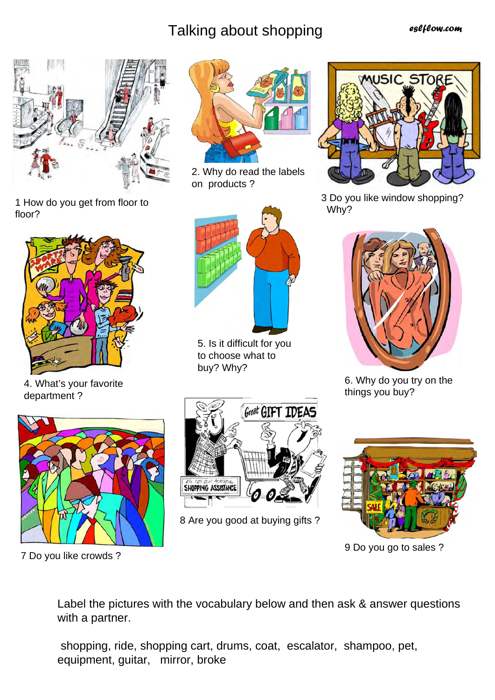## Talking about shopping

*eslflow.com*



1 How do you get from floor to floor?



4. What's your favorite department ?



2. Why do read the labels on products ?



5. Is it difficult for you to choose what to buy? Why?



7 Do you like crowds ?



8 Are you good at buying gifts ?



3 Do you like window shopping? Why?



6. Why do you try on the things you buy?



9 Do you go to sales ?

Label the pictures with the vocabulary below and then ask & answer questions with a partner.

 shopping, ride, shopping cart, drums, coat, escalator, shampoo, pet, equipment, guitar, mirror, broke